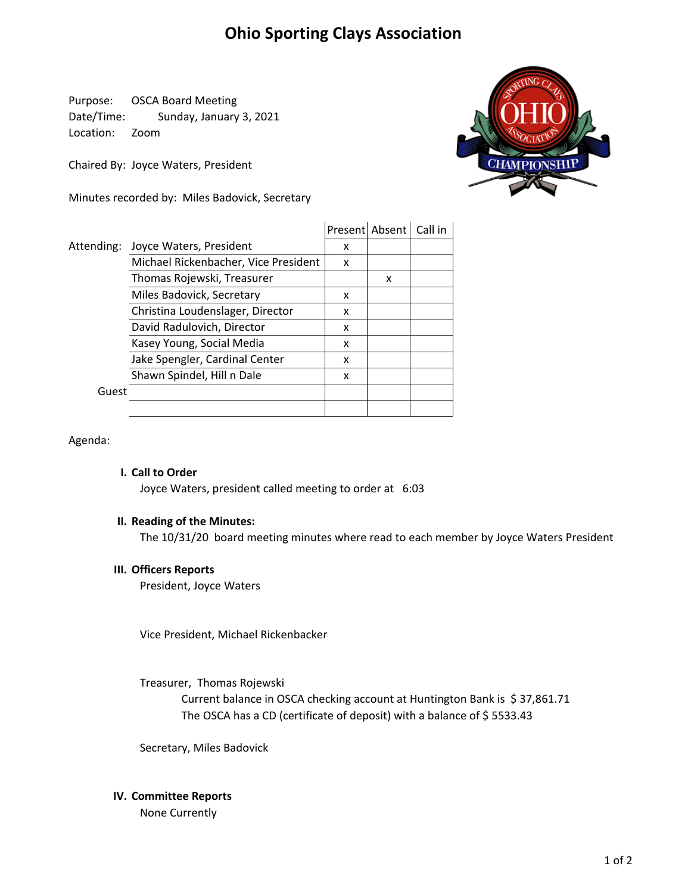# **Ohio Sporting Clays Association**

Purpose: OSCA Board Meeting Date/Time: Sunday, January 3, 2021 Location: Zoom

Chaired By: Joyce Waters, President

Minutes recorded by: Miles Badovick, Secretary



|            |                                      |   | Present Absent Call in |  |
|------------|--------------------------------------|---|------------------------|--|
| Attending: | Joyce Waters, President              | x |                        |  |
|            | Michael Rickenbacher, Vice President | x |                        |  |
|            | Thomas Rojewski, Treasurer           |   | x                      |  |
|            | Miles Badovick, Secretary            | x |                        |  |
|            | Christina Loudenslager, Director     | x |                        |  |
|            | David Radulovich, Director           | x |                        |  |
|            | Kasey Young, Social Media            | x |                        |  |
|            | Jake Spengler, Cardinal Center       | x |                        |  |
|            | Shawn Spindel, Hill n Dale           | x |                        |  |
| Guest      |                                      |   |                        |  |
|            |                                      |   |                        |  |

Agenda:

### **I. Call to Order**

Joyce Waters, president called meeting to order at 6:03

## **II. Reading of the Minutes:**

The 10/31/20 board meeting minutes where read to each member by Joyce Waters President

#### **III. Officers Reports**

President, Joyce Waters

Vice President, Michael Rickenbacker

Treasurer, Thomas Rojewski

The OSCA has a CD (certificate of deposit) with a balance of \$5533.43 Current balance in OSCA checking account at Huntington Bank is \$37,861.71

Secretary, Miles Badovick

## **IV. Committee Reports**

None Currently